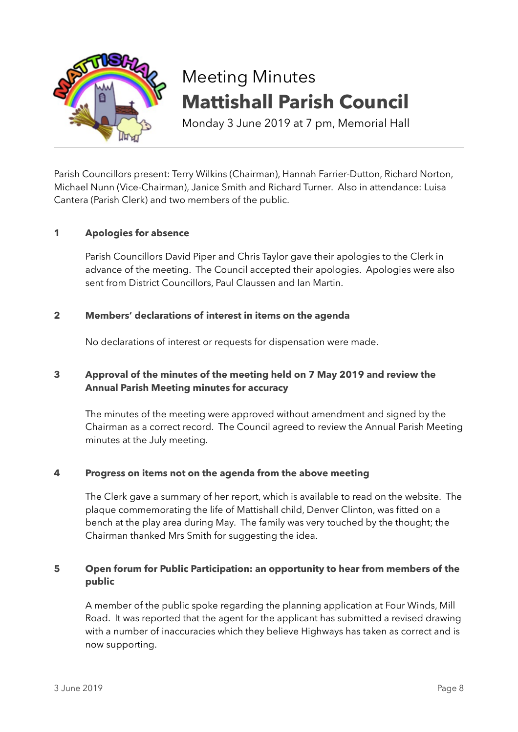

# Meeting Minutes **Mattishall Parish Council**

Monday 3 June 2019 at 7 pm, Memorial Hall

Parish Councillors present: Terry Wilkins (Chairman), Hannah Farrier-Dutton, Richard Norton, Michael Nunn (Vice-Chairman), Janice Smith and Richard Turner. Also in attendance: Luisa Cantera (Parish Clerk) and two members of the public.

## **1 Apologies for absence**

Parish Councillors David Piper and Chris Taylor gave their apologies to the Clerk in advance of the meeting. The Council accepted their apologies. Apologies were also sent from District Councillors, Paul Claussen and Ian Martin.

## **2 Members' declarations of interest in items on the agenda**

No declarations of interest or requests for dispensation were made.

# **3 Approval of the minutes of the meeting held on 7 May 2019 and review the Annual Parish Meeting minutes for accuracy**

The minutes of the meeting were approved without amendment and signed by the Chairman as a correct record. The Council agreed to review the Annual Parish Meeting minutes at the July meeting.

## **4 Progress on items not on the agenda from the above meeting**

The Clerk gave a summary of her report, which is available to read on the website. The plaque commemorating the life of Mattishall child, Denver Clinton, was fitted on a bench at the play area during May. The family was very touched by the thought; the Chairman thanked Mrs Smith for suggesting the idea.

# **5 Open forum for Public Participation: an opportunity to hear from members of the public**

A member of the public spoke regarding the planning application at Four Winds, Mill Road. It was reported that the agent for the applicant has submitted a revised drawing with a number of inaccuracies which they believe Highways has taken as correct and is now supporting.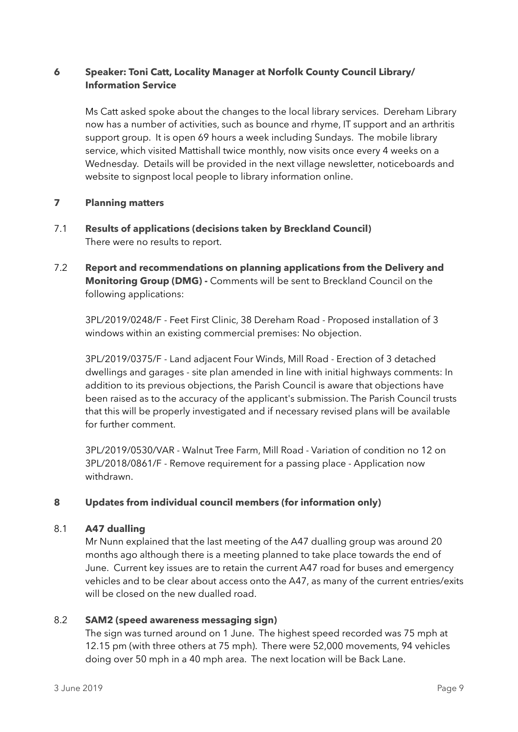# **6 Speaker: Toni Catt, Locality Manager at Norfolk County Council Library/ Information Service**

Ms Catt asked spoke about the changes to the local library services. Dereham Library now has a number of activities, such as bounce and rhyme, IT support and an arthritis support group. It is open 69 hours a week including Sundays. The mobile library service, which visited Mattishall twice monthly, now visits once every 4 weeks on a Wednesday. Details will be provided in the next village newsletter, noticeboards and website to signpost local people to library information online.

# **7 Planning matters**

- 7.1 **Results of applications (decisions taken by Breckland Council)** There were no results to report.
- 7.2 **Report and recommendations on planning applications from the Delivery and Monitoring Group (DMG) -** Comments will be sent to Breckland Council on the following applications:

3PL/2019/0248/F - Feet First Clinic, 38 Dereham Road - Proposed installation of 3 windows within an existing commercial premises: No objection.

3PL/2019/0375/F - Land adjacent Four Winds, Mill Road - Erection of 3 detached dwellings and garages - site plan amended in line with initial highways comments: In addition to its previous objections, the Parish Council is aware that objections have been raised as to the accuracy of the applicant's submission. The Parish Council trusts that this will be properly investigated and if necessary revised plans will be available for further comment.

3PL/2019/0530/VAR - Walnut Tree Farm, Mill Road - Variation of condition no 12 on 3PL/2018/0861/F - Remove requirement for a passing place - Application now withdrawn.

# **8 Updates from individual council members (for information only)**

## 8.1 **A47 dualling**

Mr Nunn explained that the last meeting of the A47 dualling group was around 20 months ago although there is a meeting planned to take place towards the end of June. Current key issues are to retain the current A47 road for buses and emergency vehicles and to be clear about access onto the A47, as many of the current entries/exits will be closed on the new dualled road.

## 8.2 **SAM2 (speed awareness messaging sign)**

The sign was turned around on 1 June. The highest speed recorded was 75 mph at 12.15 pm (with three others at 75 mph). There were 52,000 movements, 94 vehicles doing over 50 mph in a 40 mph area. The next location will be Back Lane.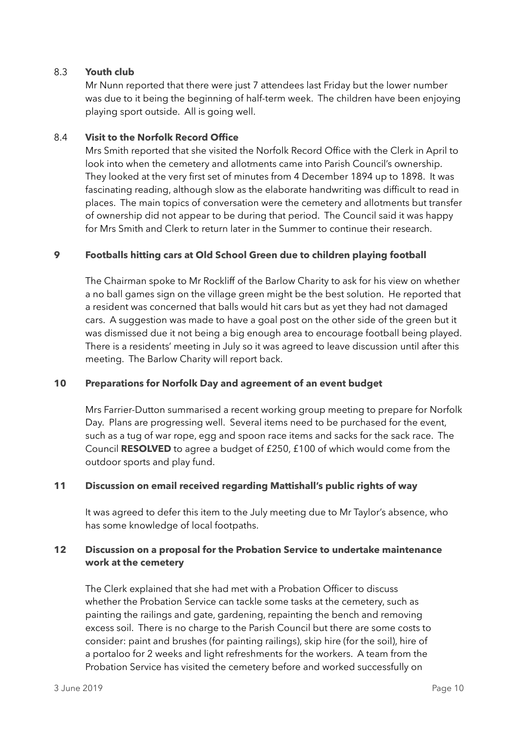#### 8.3 **Youth club**

Mr Nunn reported that there were just 7 attendees last Friday but the lower number was due to it being the beginning of half-term week. The children have been enjoying playing sport outside. All is going well.

#### 8.4 **Visit to the Norfolk Record Office**

Mrs Smith reported that she visited the Norfolk Record Office with the Clerk in April to look into when the cemetery and allotments came into Parish Council's ownership. They looked at the very first set of minutes from 4 December 1894 up to 1898. It was fascinating reading, although slow as the elaborate handwriting was difficult to read in places. The main topics of conversation were the cemetery and allotments but transfer of ownership did not appear to be during that period. The Council said it was happy for Mrs Smith and Clerk to return later in the Summer to continue their research.

## **9 Footballs hitting cars at Old School Green due to children playing football**

The Chairman spoke to Mr Rockliff of the Barlow Charity to ask for his view on whether a no ball games sign on the village green might be the best solution. He reported that a resident was concerned that balls would hit cars but as yet they had not damaged cars. A suggestion was made to have a goal post on the other side of the green but it was dismissed due it not being a big enough area to encourage football being played. There is a residents' meeting in July so it was agreed to leave discussion until after this meeting. The Barlow Charity will report back.

## **10 Preparations for Norfolk Day and agreement of an event budget**

Mrs Farrier-Dutton summarised a recent working group meeting to prepare for Norfolk Day. Plans are progressing well. Several items need to be purchased for the event, such as a tug of war rope, egg and spoon race items and sacks for the sack race. The Council **RESOLVED** to agree a budget of £250, £100 of which would come from the outdoor sports and play fund.

## **11 Discussion on email received regarding Mattishall's public rights of way**

It was agreed to defer this item to the July meeting due to Mr Taylor's absence, who has some knowledge of local footpaths.

## **12 Discussion on a proposal for the Probation Service to undertake maintenance work at the cemetery**

The Clerk explained that she had met with a Probation Officer to discuss whether the Probation Service can tackle some tasks at the cemetery, such as painting the railings and gate, gardening, repainting the bench and removing excess soil. There is no charge to the Parish Council but there are some costs to consider: paint and brushes (for painting railings), skip hire (for the soil), hire of a portaloo for 2 weeks and light refreshments for the workers. A team from the Probation Service has visited the cemetery before and worked successfully on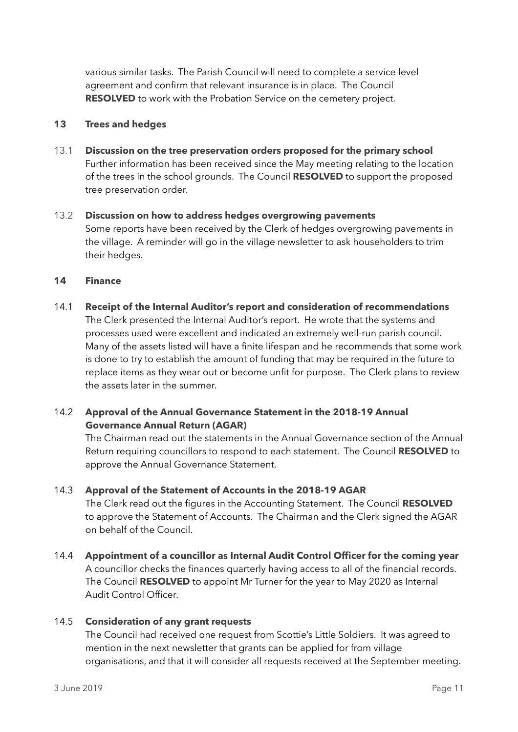various similar tasks. The Parish Council will need to complete a service level agreement and confirm that relevant insurance is in place. The Council **RESOLVED** to work with the Probation Service on the cemetery project.

## **13 Trees and hedges**

- 13.1 **Discussion on the tree preservation orders proposed for the primary school** Further information has been received since the May meeting relating to the location of the trees in the school grounds. The Council **RESOLVED** to support the proposed tree preservation order.
- 13.2 **Discussion on how to address hedges overgrowing pavements** Some reports have been received by the Clerk of hedges overgrowing pavements in the village. A reminder will go in the village newsletter to ask householders to trim their hedges.

# **14 Finance**

14.1 **Receipt of the Internal Auditor's report and consideration of recommendations**  The Clerk presented the Internal Auditor's report. He wrote that the systems and processes used were excellent and indicated an extremely well-run parish council. Many of the assets listed will have a finite lifespan and he recommends that some work is done to try to establish the amount of funding that may be required in the future to replace items as they wear out or become unfit for purpose. The Clerk plans to review the assets later in the summer.

# 14.2 **Approval of the Annual Governance Statement in the 2018-19 Annual Governance Annual Return (AGAR)**

The Chairman read out the statements in the Annual Governance section of the Annual Return requiring councillors to respond to each statement. The Council **RESOLVED** to approve the Annual Governance Statement.

## 14.3 **Approval of the Statement of Accounts in the 2018-19 AGAR**

The Clerk read out the figures in the Accounting Statement. The Council **RESOLVED** to approve the Statement of Accounts. The Chairman and the Clerk signed the AGAR on behalf of the Council.

14.4 **Appointment of a councillor as Internal Audit Control Officer for the coming year**  A councillor checks the finances quarterly having access to all of the financial records. The Council **RESOLVED** to appoint Mr Turner for the year to May 2020 as Internal Audit Control Officer.

# 14.5 **Consideration of any grant requests**

The Council had received one request from Scottie's Little Soldiers. It was agreed to mention in the next newsletter that grants can be applied for from village organisations, and that it will consider all requests received at the September meeting.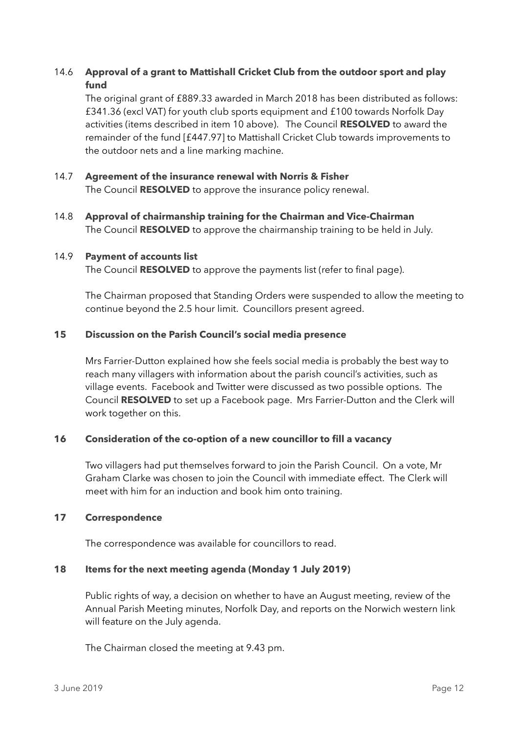# 14.6 **Approval of a grant to Mattishall Cricket Club from the outdoor sport and play fund**

The original grant of £889.33 awarded in March 2018 has been distributed as follows: £341.36 (excl VAT) for youth club sports equipment and £100 towards Norfolk Day activities (items described in item 10 above). The Council **RESOLVED** to award the remainder of the fund [£447.97] to Mattishall Cricket Club towards improvements to the outdoor nets and a line marking machine.

## 14.7 **Agreement of the insurance renewal with Norris & Fisher** The Council **RESOLVED** to approve the insurance policy renewal.

14.8 **Approval of chairmanship training for the Chairman and Vice-Chairman** The Council **RESOLVED** to approve the chairmanship training to be held in July.

## 14.9 **Payment of accounts list**

The Council **RESOLVED** to approve the payments list (refer to final page).

The Chairman proposed that Standing Orders were suspended to allow the meeting to continue beyond the 2.5 hour limit. Councillors present agreed.

#### **15 Discussion on the Parish Council's social media presence**

Mrs Farrier-Dutton explained how she feels social media is probably the best way to reach many villagers with information about the parish council's activities, such as village events. Facebook and Twitter were discussed as two possible options. The Council **RESOLVED** to set up a Facebook page. Mrs Farrier-Dutton and the Clerk will work together on this.

## **16 Consideration of the co-option of a new councillor to fill a vacancy**

Two villagers had put themselves forward to join the Parish Council. On a vote, Mr Graham Clarke was chosen to join the Council with immediate effect. The Clerk will meet with him for an induction and book him onto training.

#### **17 Correspondence**

The correspondence was available for councillors to read.

#### **18 Items for the next meeting agenda (Monday 1 July 2019)**

Public rights of way, a decision on whether to have an August meeting, review of the Annual Parish Meeting minutes, Norfolk Day, and reports on the Norwich western link will feature on the July agenda.

The Chairman closed the meeting at 9.43 pm.